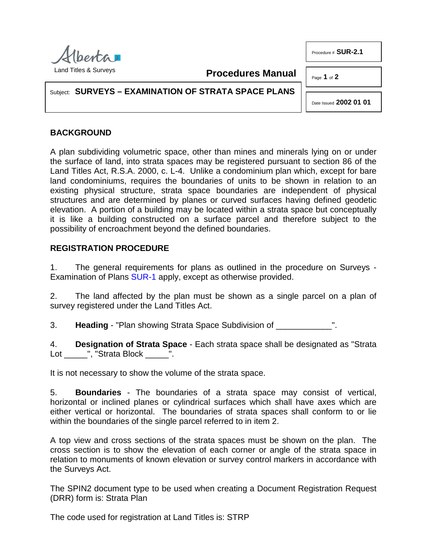

Procedure # **SUR-2.1**

Page **1** of **2**

Subject: **SURVEYS – EXAMINATION OF STRATA SPACE PLANS**

Date Issued **2002 01 01**

## **BACKGROUND**

A plan subdividing volumetric space, other than mines and minerals lying on or under the surface of land, into strata spaces may be registered pursuant to section 86 of the Land Titles Act, R.S.A. 2000, c. L-4. Unlike a condominium plan which, except for bare land condominiums, requires the boundaries of units to be shown in relation to an existing physical structure, strata space boundaries are independent of physical structures and are determined by planes or curved surfaces having defined geodetic elevation. A portion of a building may be located within a strata space but conceptually it is like a building constructed on a surface parcel and therefore subject to the possibility of encroachment beyond the defined boundaries.

**Procedures Manual**

## **REGISTRATION PROCEDURE**

1. The general requirements for plans as outlined in the procedure on Surveys - Examination of Plans [SUR-1](http://www.servicealberta.ca/pdf/ltmanual/SUR-1.PDF) apply, except as otherwise provided.

2. The land affected by the plan must be shown as a single parcel on a plan of survey registered under the Land Titles Act.

3. **Heading** - "Plan showing Strata Space Subdivision of ".

4. **Designation of Strata Space** - Each strata space shall be designated as "Strata Lot \_\_\_\_\_", "Strata Block \_\_\_\_\_".

It is not necessary to show the volume of the strata space.

5. **Boundaries** - The boundaries of a strata space may consist of vertical, horizontal or inclined planes or cylindrical surfaces which shall have axes which are either vertical or horizontal. The boundaries of strata spaces shall conform to or lie within the boundaries of the single parcel referred to in item 2.

A top view and cross sections of the strata spaces must be shown on the plan. The cross section is to show the elevation of each corner or angle of the strata space in relation to monuments of known elevation or survey control markers in accordance with the Surveys Act.

The SPIN2 document type to be used when creating a Document Registration Request (DRR) form is: Strata Plan

The code used for registration at Land Titles is: STRP